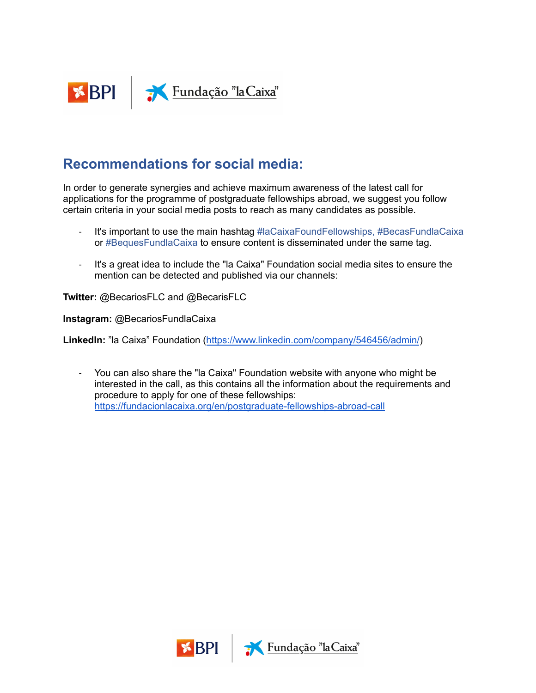

## **Recommendations for social media:**

In order to generate synergies and achieve maximum awareness of the latest call for applications for the programme of postgraduate fellowships abroad, we suggest you follow certain criteria in your social media posts to reach as many candidates as possible.

- It's important to use the main hashtag #laCaixaFoundFellowships, #BecasFundlaCaixa or #BequesFundlaCaixa to ensure content is disseminated under the same tag.
- It's a great idea to include the "la Caixa" Foundation social media sites to ensure the mention can be detected and published via our channels:

**Twitter:** @BecariosFLC and @BecarisFLC

**Instagram:** @BecariosFundlaCaixa

**LinkedIn:** "la Caixa" Foundation (<https://www.linkedin.com/company/546456/admin/>)

- You can also share the "la Caixa" Foundation website with anyone who might be interested in the call, as this contains all the information about the requirements and procedure to apply for one of these fellowships: [https://fundacionlacaixa.org/en/postgraduate-fellowships-abroad-call](https://fundacionlacaixa.org/es/becas-la-caixa-posgrado-extranjero)